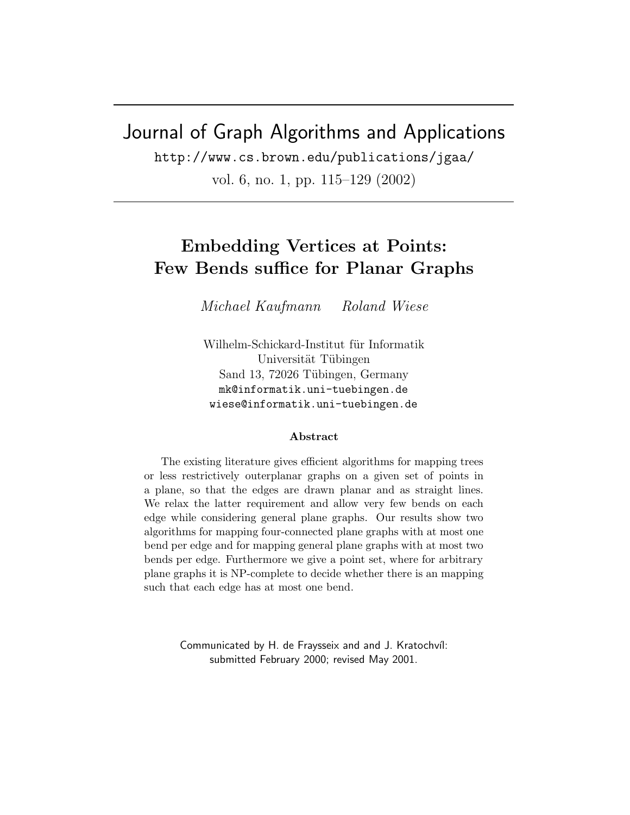# Journal of Graph Algorithms and Applications

http://www.cs.brown.edu/publications/jgaa/

vol. 6, no. 1, pp. 115–129 (2002)

## **Embedding Vertices at Points: Few Bends suffice for Planar Graphs**

Michael Kaufmann Roland Wiese

Wilhelm-Schickard-Institut für Informatik Universität Tübingen Sand 13, 72026 Tübingen, Germany mk@informatik.uni-tuebingen.de wiese@informatik.uni-tuebingen.de

#### **Abstract**

The existing literature gives efficient algorithms for mapping trees or less restrictively outerplanar graphs on a given set of points in a plane, so that the edges are drawn planar and as straight lines. We relax the latter requirement and allow very few bends on each edge while considering general plane graphs. Our results show two algorithms for mapping four-connected plane graphs with at most one bend per edge and for mapping general plane graphs with at most two bends per edge. Furthermore we give a point set, where for arbitrary plane graphs it is NP-complete to decide whether there is an mapping such that each edge has at most one bend.

> Communicated by H. de Fraysseix and and J. Kratochvíl: submitted February 2000; revised May 2001.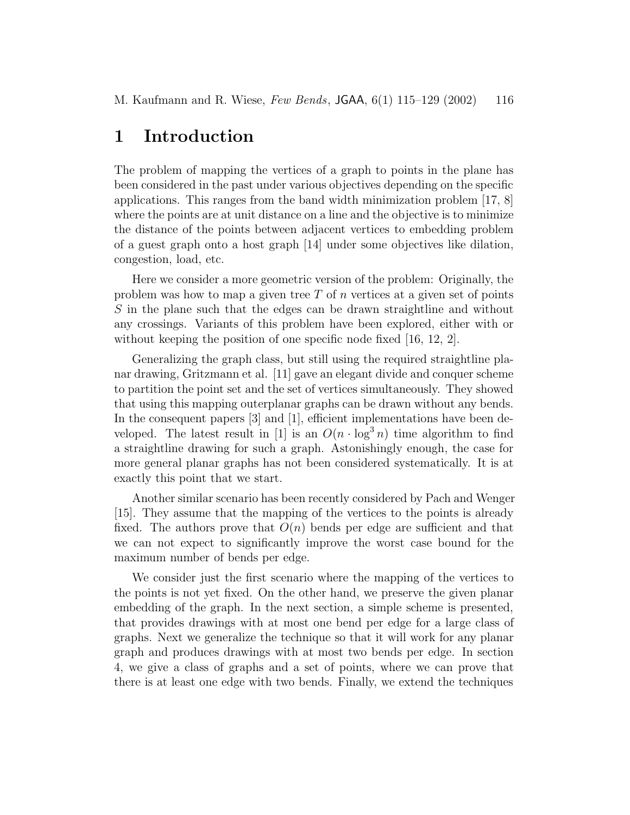#### **1 Introduction**

The problem of mapping the vertices of a graph to points in the plane has been considered in the past under various objectives depending on the specific applications. This ranges from the band width minimization problem [17, 8] where the points are at unit distance on a line and the objective is to minimize the distance of the points between adjacent vertices to embedding problem of a guest graph onto a host graph [14] under some objectives like dilation, congestion, load, etc.

Here we consider a more geometric version of the problem: Originally, the problem was how to map a given tree  $T$  of  $n$  vertices at a given set of points S in the plane such that the edges can be drawn straightline and without any crossings. Variants of this problem have been explored, either with or without keeping the position of one specific node fixed [16, 12, 2].

Generalizing the graph class, but still using the required straightline planar drawing, Gritzmann et al. [11] gave an elegant divide and conquer scheme to partition the point set and the set of vertices simultaneously. They showed that using this mapping outerplanar graphs can be drawn without any bends. In the consequent papers [3] and [1], efficient implementations have been developed. The latest result in [1] is an  $O(n \cdot \log^3 n)$  time algorithm to find a straightline drawing for such a graph. Astonishingly enough, the case for more general planar graphs has not been considered systematically. It is at exactly this point that we start.

Another similar scenario has been recently considered by Pach and Wenger [15]. They assume that the mapping of the vertices to the points is already fixed. The authors prove that  $O(n)$  bends per edge are sufficient and that we can not expect to significantly improve the worst case bound for the maximum number of bends per edge.

We consider just the first scenario where the mapping of the vertices to the points is not yet fixed. On the other hand, we preserve the given planar embedding of the graph. In the next section, a simple scheme is presented, that provides drawings with at most one bend per edge for a large class of graphs. Next we generalize the technique so that it will work for any planar graph and produces drawings with at most two bends per edge. In section 4, we give a class of graphs and a set of points, where we can prove that there is at least one edge with two bends. Finally, we extend the techniques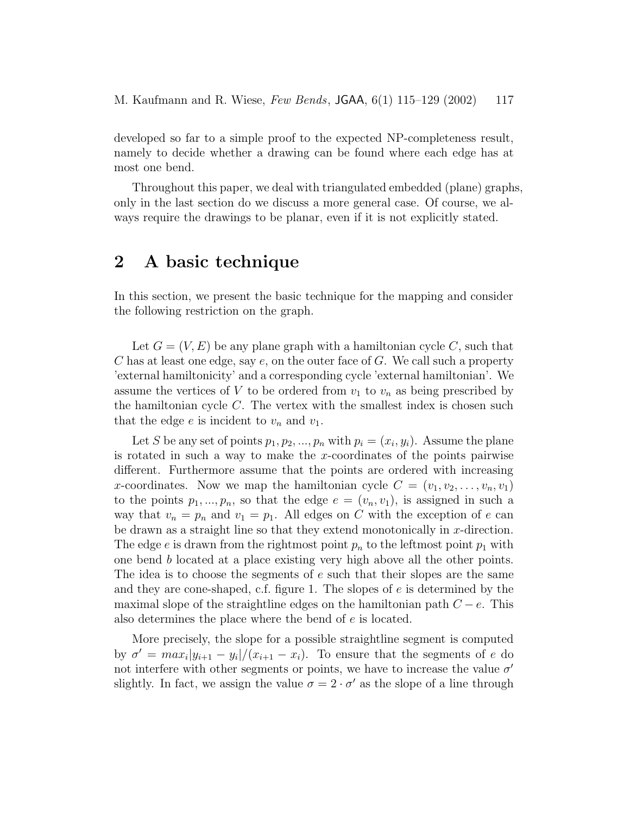M. Kaufmann and R. Wiese, *Few Bends*, JGAA, 6(1) 115–129 (2002) 117

developed so far to a simple proof to the expected NP-completeness result, namely to decide whether a drawing can be found where each edge has at most one bend.

Throughout this paper, we deal with triangulated embedded (plane) graphs, only in the last section do we discuss a more general case. Of course, we always require the drawings to be planar, even if it is not explicitly stated.

#### **2 A basic technique**

In this section, we present the basic technique for the mapping and consider the following restriction on the graph.

Let  $G = (V, E)$  be any plane graph with a hamiltonian cycle C, such that C has at least one edge, say  $e$ , on the outer face of G. We call such a property 'external hamiltonicity' and a corresponding cycle 'external hamiltonian'. We assume the vertices of V to be ordered from  $v_1$  to  $v_n$  as being prescribed by the hamiltonian cycle  $C$ . The vertex with the smallest index is chosen such that the edge  $e$  is incident to  $v_n$  and  $v_1$ .

Let S be any set of points  $p_1, p_2, ..., p_n$  with  $p_i = (x_i, y_i)$ . Assume the plane is rotated in such a way to make the x-coordinates of the points pairwise different. Furthermore assume that the points are ordered with increasing x-coordinates. Now we map the hamiltonian cycle  $C = (v_1, v_2, \ldots, v_n, v_1)$ to the points  $p_1, ..., p_n$ , so that the edge  $e = (v_n, v_1)$ , is assigned in such a way that  $v_n = p_n$  and  $v_1 = p_1$ . All edges on C with the exception of e can be drawn as a straight line so that they extend monotonically in x-direction. The edge e is drawn from the rightmost point  $p_n$  to the leftmost point  $p_1$  with one bend b located at a place existing very high above all the other points. The idea is to choose the segments of e such that their slopes are the same and they are cone-shaped, c.f. figure 1. The slopes of  $e$  is determined by the maximal slope of the straightline edges on the hamiltonian path  $C - e$ . This also determines the place where the bend of e is located.

More precisely, the slope for a possible straightline segment is computed by  $\sigma' = max_i|y_{i+1} - y_i|/(x_{i+1} - x_i)$ . To ensure that the segments of e do not interfere with other segments or points, we have to increase the value  $\sigma'$ slightly. In fact, we assign the value  $\sigma = 2 \cdot \sigma'$  as the slope of a line through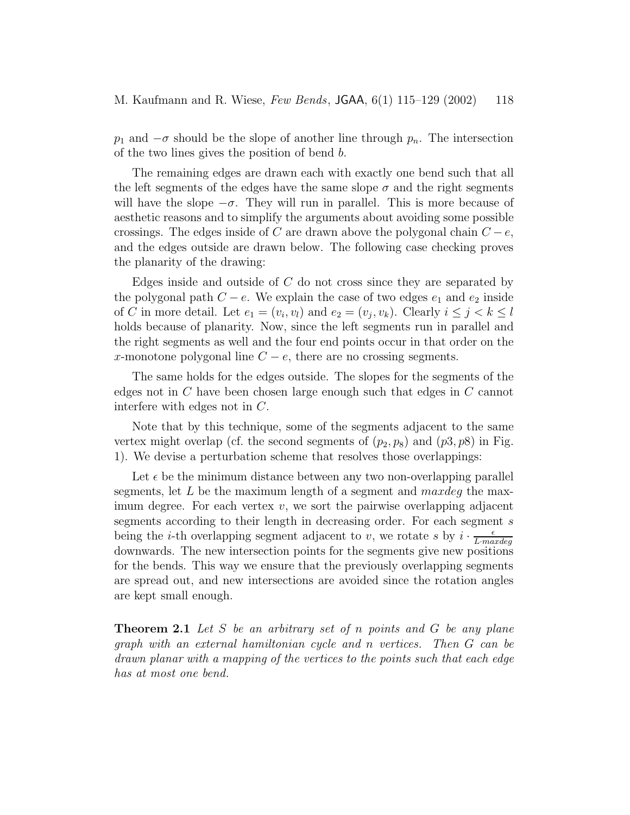$p_1$  and  $-\sigma$  should be the slope of another line through  $p_n$ . The intersection of the two lines gives the position of bend b.

The remaining edges are drawn each with exactly one bend such that all the left segments of the edges have the same slope  $\sigma$  and the right segments will have the slope  $-\sigma$ . They will run in parallel. This is more because of aesthetic reasons and to simplify the arguments about avoiding some possible crossings. The edges inside of C are drawn above the polygonal chain  $C - e$ , and the edges outside are drawn below. The following case checking proves the planarity of the drawing:

Edges inside and outside of  $C$  do not cross since they are separated by the polygonal path  $C - e$ . We explain the case of two edges  $e_1$  and  $e_2$  inside of C in more detail. Let  $e_1 = (v_i, v_l)$  and  $e_2 = (v_j, v_k)$ . Clearly  $i \leq j < k \leq l$ holds because of planarity. Now, since the left segments run in parallel and the right segments as well and the four end points occur in that order on the x-monotone polygonal line  $C - e$ , there are no crossing segments.

The same holds for the edges outside. The slopes for the segments of the edges not in C have been chosen large enough such that edges in C cannot interfere with edges not in C.

Note that by this technique, some of the segments adjacent to the same vertex might overlap (cf. the second segments of  $(p_2, p_8)$  and  $(p_3, p_8)$  in Fig. 1). We devise a perturbation scheme that resolves those overlappings:

Let  $\epsilon$  be the minimum distance between any two non-overlapping parallel segments, let  $L$  be the maximum length of a segment and  $maxdeg$  the maximum degree. For each vertex  $v$ , we sort the pairwise overlapping adjacent segments according to their length in decreasing order. For each segment s being the *i*-th overlapping segment adjacent to *v*, we rotate *s* by  $i \cdot \frac{\epsilon}{L \text{ maxdeg}}$ downwards. The new intersection points for the segments give new positions for the bends. This way we ensure that the previously overlapping segments are spread out, and new intersections are avoided since the rotation angles are kept small enough.

**Theorem 2.1** Let S be an arbitrary set of n points and G be any plane graph with an external hamiltonian cycle and n vertices. Then G can be drawn planar with a mapping of the vertices to the points such that each edge has at most one bend.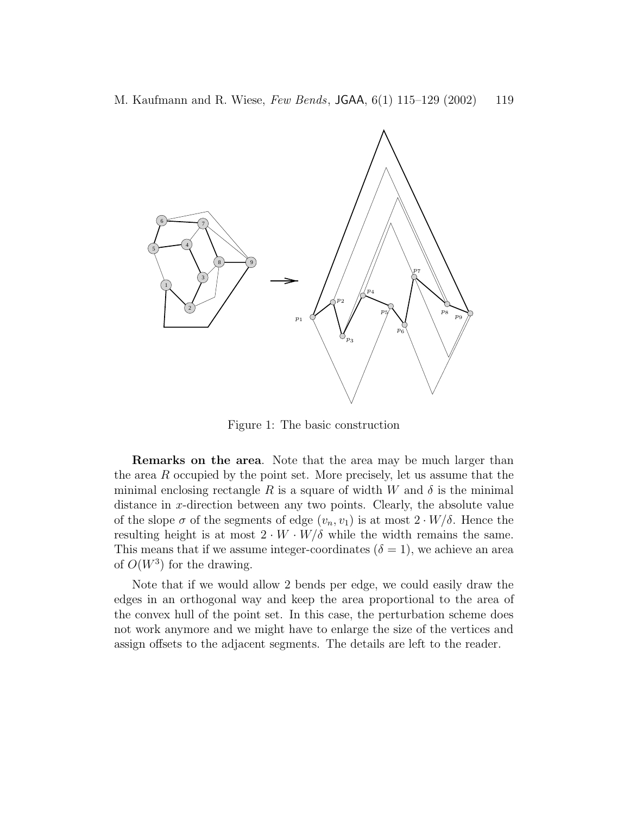

Figure 1: The basic construction

**Remarks on the area**. Note that the area may be much larger than the area R occupied by the point set. More precisely, let us assume that the minimal enclosing rectangle R is a square of width W and  $\delta$  is the minimal distance in x-direction between any two points. Clearly, the absolute value of the slope  $\sigma$  of the segments of edge  $(v_n, v_1)$  is at most  $2 \cdot W/\delta$ . Hence the resulting height is at most  $2 \cdot W \cdot W/\delta$  while the width remains the same. This means that if we assume integer-coordinates  $(\delta = 1)$ , we achieve an area of  $O(W^3)$  for the drawing.

Note that if we would allow 2 bends per edge, we could easily draw the edges in an orthogonal way and keep the area proportional to the area of the convex hull of the point set. In this case, the perturbation scheme does not work anymore and we might have to enlarge the size of the vertices and assign offsets to the adjacent segments. The details are left to the reader.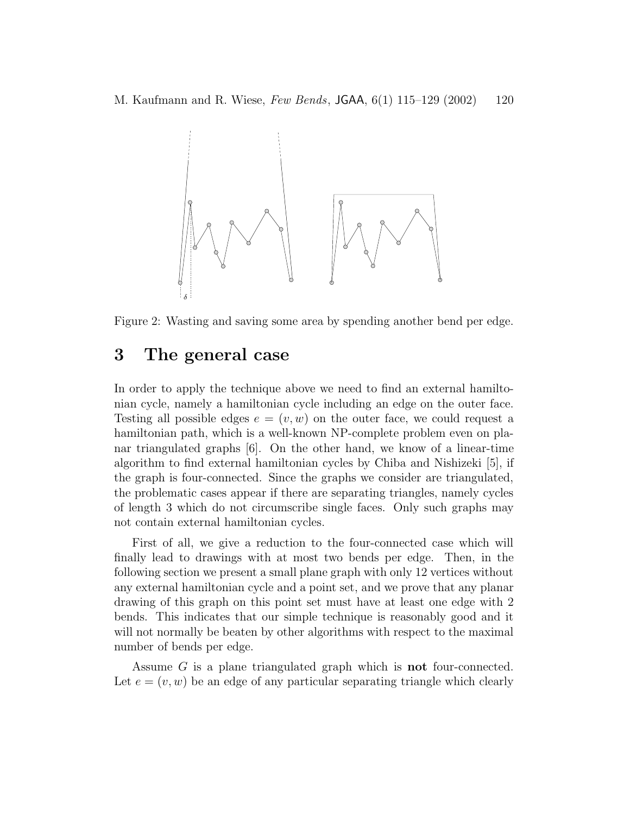

Figure 2: Wasting and saving some area by spending another bend per edge.

#### **3 The general case**

In order to apply the technique above we need to find an external hamiltonian cycle, namely a hamiltonian cycle including an edge on the outer face. Testing all possible edges  $e = (v, w)$  on the outer face, we could request a hamiltonian path, which is a well-known NP-complete problem even on planar triangulated graphs [6]. On the other hand, we know of a linear-time algorithm to find external hamiltonian cycles by Chiba and Nishizeki [5], if the graph is four-connected. Since the graphs we consider are triangulated, the problematic cases appear if there are separating triangles, namely cycles of length 3 which do not circumscribe single faces. Only such graphs may not contain external hamiltonian cycles.

First of all, we give a reduction to the four-connected case which will finally lead to drawings with at most two bends per edge. Then, in the following section we present a small plane graph with only 12 vertices without any external hamiltonian cycle and a point set, and we prove that any planar drawing of this graph on this point set must have at least one edge with 2 bends. This indicates that our simple technique is reasonably good and it will not normally be beaten by other algorithms with respect to the maximal number of bends per edge.

Assume G is a plane triangulated graph which is **not** four-connected. Let  $e = (v, w)$  be an edge of any particular separating triangle which clearly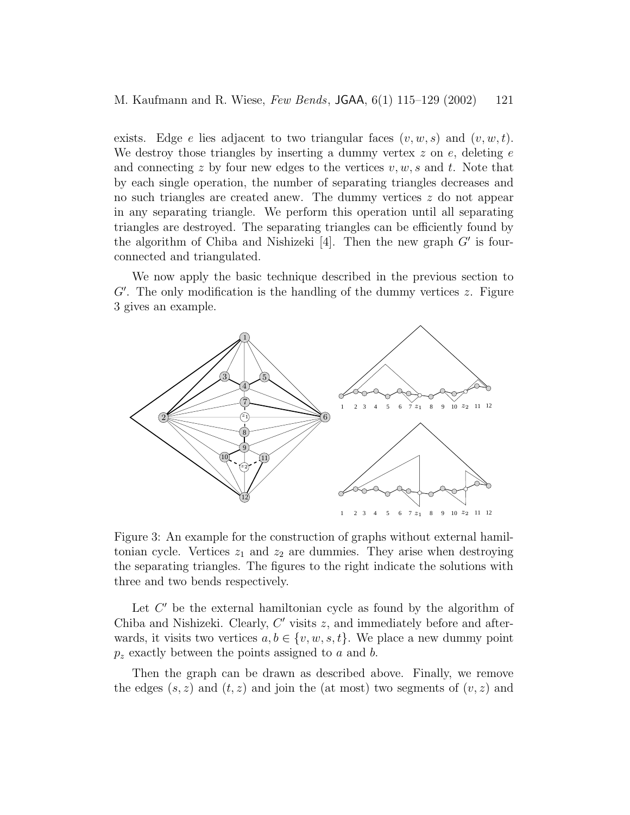exists. Edge e lies adjacent to two triangular faces  $(v, w, s)$  and  $(v, w, t)$ . We destroy those triangles by inserting a dummy vertex  $z$  on  $e$ , deleting  $e$ and connecting z by four new edges to the vertices  $v, w, s$  and t. Note that by each single operation, the number of separating triangles decreases and no such triangles are created anew. The dummy vertices z do not appear in any separating triangle. We perform this operation until all separating triangles are destroyed. The separating triangles can be efficiently found by the algorithm of Chiba and Nishizeki [4]. Then the new graph  $G'$  is fourconnected and triangulated.

We now apply the basic technique described in the previous section to  $G'$ . The only modification is the handling of the dummy vertices  $z$ . Figure 3 gives an example.



Figure 3: An example for the construction of graphs without external hamiltonian cycle. Vertices  $z_1$  and  $z_2$  are dummies. They arise when destroying the separating triangles. The figures to the right indicate the solutions with three and two bends respectively.

Let  $C'$  be the external hamiltonian cycle as found by the algorithm of Chiba and Nishizeki. Clearly,  $C'$  visits  $z$ , and immediately before and afterwards, it visits two vertices  $a, b \in \{v, w, s, t\}$ . We place a new dummy point  $p_z$  exactly between the points assigned to a and b.

Then the graph can be drawn as described above. Finally, we remove the edges  $(s, z)$  and  $(t, z)$  and join the (at most) two segments of  $(v, z)$  and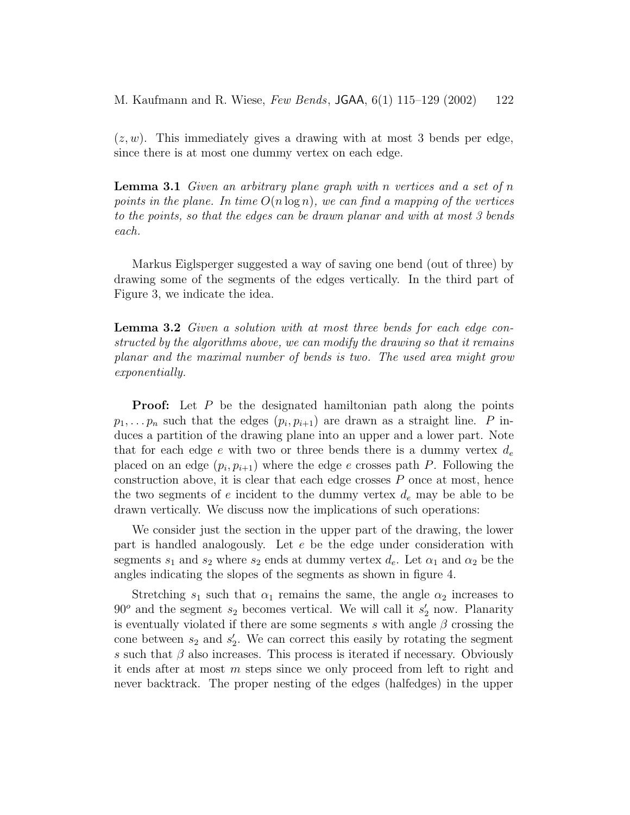$(z, w)$ . This immediately gives a drawing with at most 3 bends per edge, since there is at most one dummy vertex on each edge.

**Lemma 3.1** Given an arbitrary plane graph with n vertices and a set of n points in the plane. In time  $O(n \log n)$ , we can find a mapping of the vertices to the points, so that the edges can be drawn planar and with at most 3 bends each.

Markus Eiglsperger suggested a way of saving one bend (out of three) by drawing some of the segments of the edges vertically. In the third part of Figure 3, we indicate the idea.

**Lemma 3.2** Given a solution with at most three bends for each edge constructed by the algorithms above, we can modify the drawing so that it remains planar and the maximal number of bends is two. The used area might grow exponentially.

**Proof:** Let P be the designated hamiltonian path along the points  $p_1, \ldots, p_n$  such that the edges  $(p_i, p_{i+1})$  are drawn as a straight line. P induces a partition of the drawing plane into an upper and a lower part. Note that for each edge e with two or three bends there is a dummy vertex  $d_e$ placed on an edge  $(p_i, p_{i+1})$  where the edge e crosses path P. Following the construction above, it is clear that each edge crosses  $P$  once at most, hence the two segments of  $e$  incident to the dummy vertex  $d_e$  may be able to be drawn vertically. We discuss now the implications of such operations:

We consider just the section in the upper part of the drawing, the lower part is handled analogously. Let e be the edge under consideration with segments  $s_1$  and  $s_2$  where  $s_2$  ends at dummy vertex  $d_e$ . Let  $\alpha_1$  and  $\alpha_2$  be the angles indicating the slopes of the segments as shown in figure 4.

Stretching  $s_1$  such that  $\alpha_1$  remains the same, the angle  $\alpha_2$  increases to  $90^{\circ}$  and the segment  $s_2$  becomes vertical. We will call it  $s_2'$  now. Planarity is eventually violated if there are some segments s with angle  $\beta$  crossing the cone between  $s_2$  and  $s_2'$ . We can correct this easily by rotating the segment s such that  $\beta$  also increases. This process is iterated if necessary. Obviously it ends after at most m steps since we only proceed from left to right and never backtrack. The proper nesting of the edges (halfedges) in the upper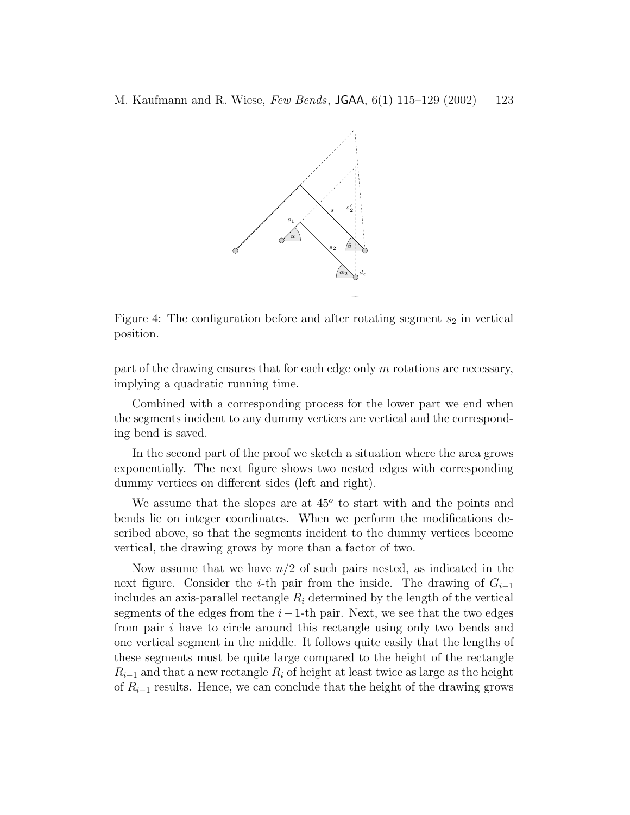

Figure 4: The configuration before and after rotating segment  $s_2$  in vertical position.

part of the drawing ensures that for each edge only  $m$  rotations are necessary, implying a quadratic running time.

Combined with a corresponding process for the lower part we end when the segments incident to any dummy vertices are vertical and the corresponding bend is saved.

In the second part of the proof we sketch a situation where the area grows exponentially. The next figure shows two nested edges with corresponding dummy vertices on different sides (left and right).

We assume that the slopes are at  $45^{\circ}$  to start with and the points and bends lie on integer coordinates. When we perform the modifications described above, so that the segments incident to the dummy vertices become vertical, the drawing grows by more than a factor of two.

Now assume that we have  $n/2$  of such pairs nested, as indicated in the next figure. Consider the *i*-th pair from the inside. The drawing of  $G_{i-1}$ includes an axis-parallel rectangle  $R_i$  determined by the length of the vertical segments of the edges from the  $i-1$ -th pair. Next, we see that the two edges from pair i have to circle around this rectangle using only two bends and one vertical segment in the middle. It follows quite easily that the lengths of these segments must be quite large compared to the height of the rectangle  $R_{i-1}$  and that a new rectangle  $R_i$  of height at least twice as large as the height of  $R_{i-1}$  results. Hence, we can conclude that the height of the drawing grows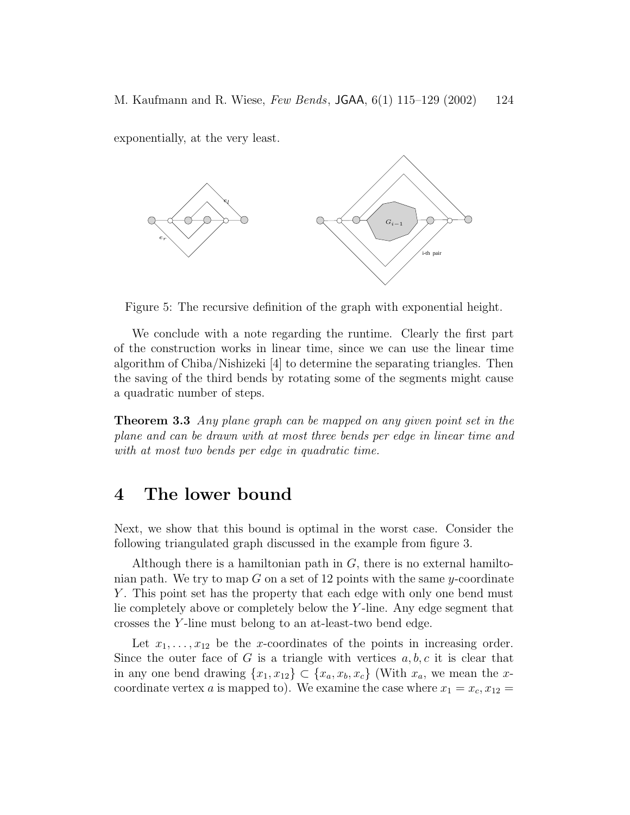exponentially, at the very least.



Figure 5: The recursive definition of the graph with exponential height.

We conclude with a note regarding the runtime. Clearly the first part of the construction works in linear time, since we can use the linear time algorithm of Chiba/Nishizeki [4] to determine the separating triangles. Then the saving of the third bends by rotating some of the segments might cause a quadratic number of steps.

**Theorem 3.3** Any plane graph can be mapped on any given point set in the plane and can be drawn with at most three bends per edge in linear time and with at most two bends per edge in quadratic time.

#### **4 The lower bound**

Next, we show that this bound is optimal in the worst case. Consider the following triangulated graph discussed in the example from figure 3.

Although there is a hamiltonian path in  $G$ , there is no external hamiltonian path. We try to map G on a set of 12 points with the same y-coordinate Y. This point set has the property that each edge with only one bend must lie completely above or completely below the Y -line. Any edge segment that crosses the Y -line must belong to an at-least-two bend edge.

Let  $x_1, \ldots, x_{12}$  be the x-coordinates of the points in increasing order. Since the outer face of G is a triangle with vertices  $a, b, c$  it is clear that in any one bend drawing  $\{x_1, x_{12}\} \subset \{x_a, x_b, x_c\}$  (With  $x_a$ , we mean the xcoordinate vertex a is mapped to). We examine the case where  $x_1 = x_c, x_{12} =$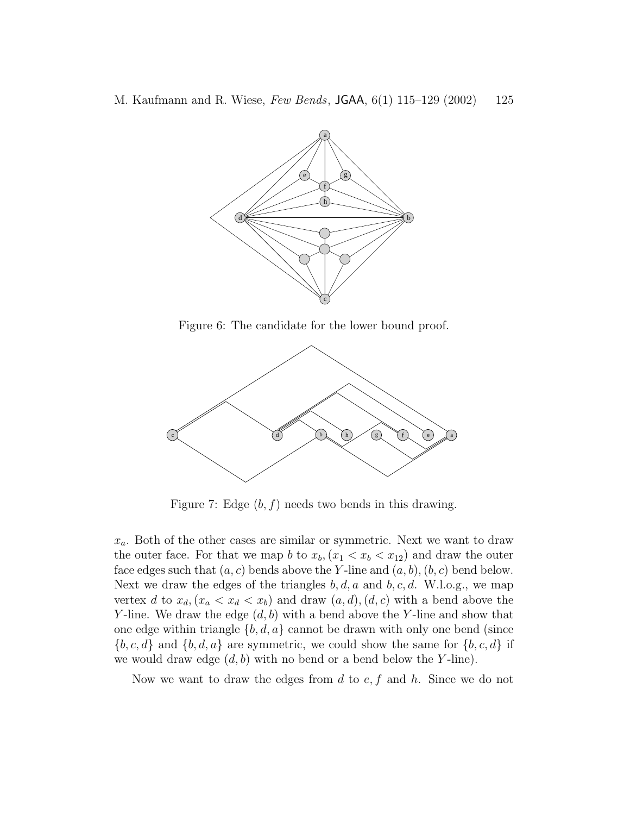

Figure 6: The candidate for the lower bound proof.



Figure 7: Edge  $(b, f)$  needs two bends in this drawing.

 $x_a$ . Both of the other cases are similar or symmetric. Next we want to draw the outer face. For that we map b to  $x_b, (x_1 < x_b < x_{12})$  and draw the outer face edges such that  $(a, c)$  bends above the Y-line and  $(a, b), (b, c)$  bend below. Next we draw the edges of the triangles  $b, d, a$  and  $b, c, d$ . W.l.o.g., we map vertex d to  $x_d$ ,  $(x_a < x_d < x_b)$  and draw  $(a, d)$ ,  $(d, c)$  with a bend above the Y-line. We draw the edge  $(d, b)$  with a bend above the Y-line and show that one edge within triangle  $\{b, d, a\}$  cannot be drawn with only one bend (since  ${b, c, d}$  and  ${b, d, a}$  are symmetric, we could show the same for  ${b, c, d}$  if we would draw edge  $(d, b)$  with no bend or a bend below the Y-line).

Now we want to draw the edges from  $d$  to  $e, f$  and  $h$ . Since we do not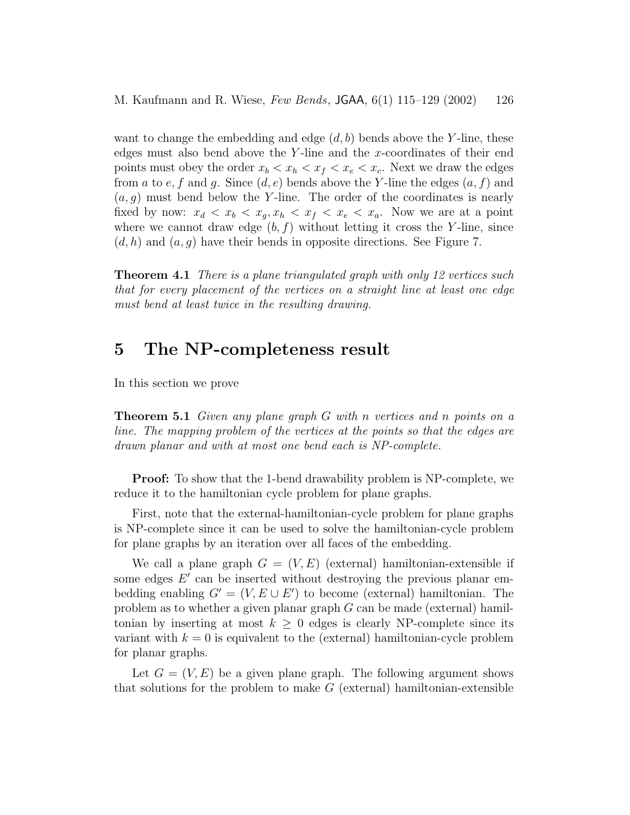want to change the embedding and edge  $(d, b)$  bends above the Y-line, these edges must also bend above the Y-line and the x-coordinates of their end points must obey the order  $x_b < x_h < x_f < x_e < x_c$ . Next we draw the edges from a to e, f and g. Since  $(d, e)$  bends above the Y-line the edges  $(a, f)$  and  $(a, g)$  must bend below the Y-line. The order of the coordinates is nearly fixed by now:  $x_d < x_b < x_q, x_h < x_f < x_e < x_a$ . Now we are at a point where we cannot draw edge  $(b, f)$  without letting it cross the Y-line, since  $(d, h)$  and  $(a, g)$  have their bends in opposite directions. See Figure 7.

**Theorem 4.1** There is a plane triangulated graph with only 12 vertices such that for every placement of the vertices on a straight line at least one edge must bend at least twice in the resulting drawing.

#### **5 The NP-completeness result**

In this section we prove

**Theorem 5.1** Given any plane graph G with n vertices and n points on a line. The mapping problem of the vertices at the points so that the edges are drawn planar and with at most one bend each is NP-complete.

**Proof:** To show that the 1-bend drawability problem is NP-complete, we reduce it to the hamiltonian cycle problem for plane graphs.

First, note that the external-hamiltonian-cycle problem for plane graphs is NP-complete since it can be used to solve the hamiltonian-cycle problem for plane graphs by an iteration over all faces of the embedding.

We call a plane graph  $G = (V, E)$  (external) hamiltonian-extensible if some edges  $E'$  can be inserted without destroying the previous planar embedding enabling  $G' = (V, E \cup E')$  to become (external) hamiltonian. The problem as to whether a given planar graph G can be made (external) hamiltonian by inserting at most  $k \geq 0$  edges is clearly NP-complete since its variant with  $k = 0$  is equivalent to the (external) hamiltonian-cycle problem for planar graphs.

Let  $G = (V, E)$  be a given plane graph. The following argument shows that solutions for the problem to make  $G$  (external) hamiltonian-extensible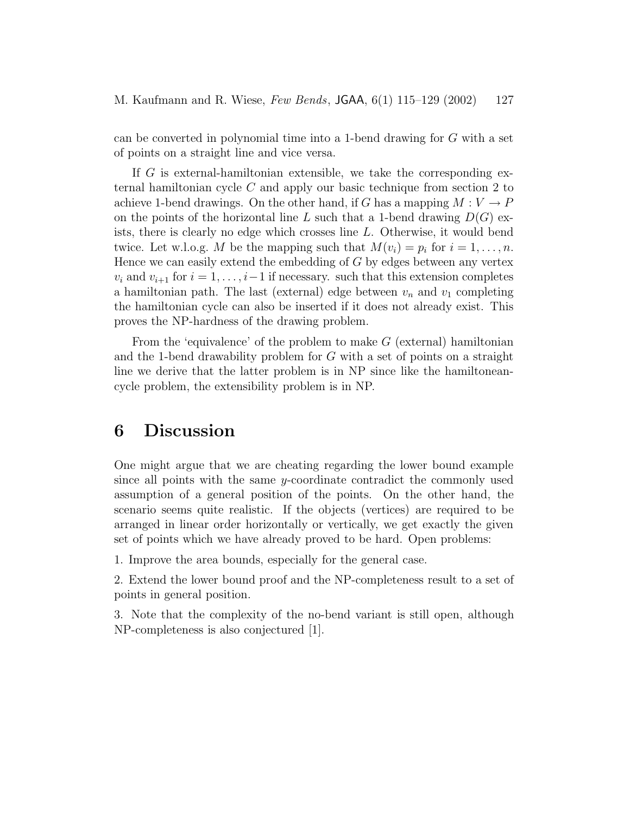can be converted in polynomial time into a 1-bend drawing for G with a set of points on a straight line and vice versa.

If G is external-hamiltonian extensible, we take the corresponding external hamiltonian cycle C and apply our basic technique from section 2 to achieve 1-bend drawings. On the other hand, if G has a mapping  $M: V \to P$ on the points of the horizontal line L such that a 1-bend drawing  $D(G)$  exists, there is clearly no edge which crosses line L. Otherwise, it would bend twice. Let w.l.o.g. M be the mapping such that  $M(v_i) = p_i$  for  $i = 1, \ldots, n$ . Hence we can easily extend the embedding of G by edges between any vertex  $v_i$  and  $v_{i+1}$  for  $i = 1, \ldots, i-1$  if necessary. such that this extension completes a hamiltonian path. The last (external) edge between  $v_n$  and  $v_1$  completing the hamiltonian cycle can also be inserted if it does not already exist. This proves the NP-hardness of the drawing problem.

From the 'equivalence' of the problem to make  $G$  (external) hamiltonian and the 1-bend drawability problem for G with a set of points on a straight line we derive that the latter problem is in NP since like the hamiltoneancycle problem, the extensibility problem is in NP.

### **6 Discussion**

One might argue that we are cheating regarding the lower bound example since all points with the same y-coordinate contradict the commonly used assumption of a general position of the points. On the other hand, the scenario seems quite realistic. If the objects (vertices) are required to be arranged in linear order horizontally or vertically, we get exactly the given set of points which we have already proved to be hard. Open problems:

1. Improve the area bounds, especially for the general case.

2. Extend the lower bound proof and the NP-completeness result to a set of points in general position.

3. Note that the complexity of the no-bend variant is still open, although NP-completeness is also conjectured [1].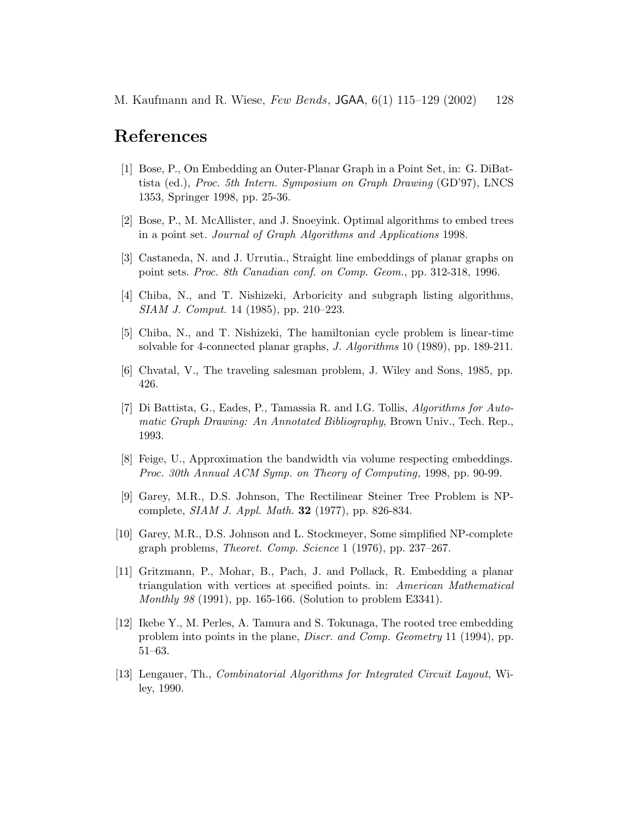#### **References**

- [1] Bose, P., On Embedding an Outer-Planar Graph in a Point Set, in: G. DiBattista (ed.), *Proc. 5th Intern. Symposium on Graph Drawing* (GD'97), LNCS 1353, Springer 1998, pp. 25-36.
- [2] Bose, P., M. McAllister, and J. Snoeyink. Optimal algorithms to embed trees in a point set. *Journal of Graph Algorithms and Applications* 1998.
- [3] Castaneda, N. and J. Urrutia., Straight line embeddings of planar graphs on point sets. *Proc. 8th Canadian conf. on Comp. Geom.*, pp. 312-318, 1996.
- [4] Chiba, N., and T. Nishizeki, Arboricity and subgraph listing algorithms, *SIAM J. Comput.* 14 (1985), pp. 210–223.
- [5] Chiba, N., and T. Nishizeki, The hamiltonian cycle problem is linear-time solvable for 4-connected planar graphs, *J. Algorithms* 10 (1989), pp. 189-211.
- [6] Chvatal, V., The traveling salesman problem, J. Wiley and Sons, 1985, pp. 426.
- [7] Di Battista, G., Eades, P., Tamassia R. and I.G. Tollis, *Algorithms for Automatic Graph Drawing: An Annotated Bibliography*, Brown Univ., Tech. Rep., 1993.
- [8] Feige, U., Approximation the bandwidth via volume respecting embeddings. *Proc. 30th Annual ACM Symp. on Theory of Computing*, 1998, pp. 90-99.
- [9] Garey, M.R., D.S. Johnson, The Rectilinear Steiner Tree Problem is NPcomplete, *SIAM J. Appl. Math.* **32** (1977), pp. 826-834.
- [10] Garey, M.R., D.S. Johnson and L. Stockmeyer, Some simplified NP-complete graph problems, *Theoret. Comp. Science* 1 (1976), pp. 237–267.
- [11] Gritzmann, P., Mohar, B., Pach, J. and Pollack, R. Embedding a planar triangulation with vertices at specified points. in: *American Mathematical Monthly 98* (1991), pp. 165-166. (Solution to problem E3341).
- [12] Ikebe Y., M. Perles, A. Tamura and S. Tokunaga, The rooted tree embedding problem into points in the plane, *Discr. and Comp. Geometry* 11 (1994), pp. 51–63.
- [13] Lengauer, Th., *Combinatorial Algorithms for Integrated Circuit Layout*, Wiley, 1990.